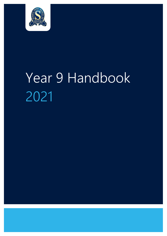

# Year 9 Handbook 2021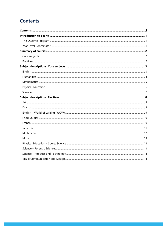# <span id="page-1-0"></span>**Contents**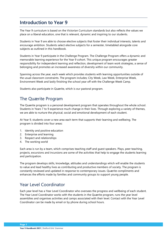# <span id="page-2-0"></span>**Introduction to Year 9**

The Year 9 curriculum is based on the Victorian Curriculum standards but also reflects the values we place on a liberal education, one that is relevant, dynamic and inspiring to our students.

Students in Year 9 are able to choose elective subjects that foster their individual interests, talents and encourage ambition. Students select elective subjects for a semester, timetabled alongside core subjects as outlined in this handbook.

Students in Year 9 participate in the Challenge Program. The Challenge Program offers a dynamic and memorable learning experience for the Year 9 cohort. This unique program encourages greater responsibility for independent learning and reflection, development of team work strategies, a sense of belonging and promotes an increased awareness of diversity within our community.

Spanning across the year, each week which provides students with learning opportunities outside of the usual classroom constraints. The program includes; City Week, Law Week, Enterprise Week, Environment Week and lastly finishing the school year off with the Challenge Week Camp.

Students also participate in Quærite, which is our pastoral program.

# <span id="page-2-1"></span>The Quærite Program

The Quærite program is a personal development program that operates throughout the whole school. Students in Years 7 to 9 experience much change in their lives. Through exploring a variety of themes, we are able to nurture the physical, social and emotional development of each student.

At Year 9, students cover a new area each term that supports their learning and wellbeing. The program is divided into four areas:

- 1. Identity and positive education
- 2. Enterprise and learning
- 3. Respect and relationships
- 4. The working world

Each area is run by a team, which comprises teaching staff and guest speakers. Plays, peer teaching, projects, excursions and incursions are some of the activities that help to engage the students learning and participation.

The program develops skills, knowledge, attitudes and understandings which will enable the students to value and lead healthy lives as contributing and productive members of society. The program is constantly reviewed and updated in response to contemporary issues. Quærite compliments and enhances the efforts made by families and community groups to support young people.

# <span id="page-2-2"></span>Year Level Coordinator

Each year level has a Year Level Coordinator who oversees the progress and wellbeing of each student. The Year Level Coordinator works with the students in the Quærite program, runs the year level assemblies and organises activities and camps associated with their level. Contact with the Year Level Coordinator can be made by email or by phone during school hours.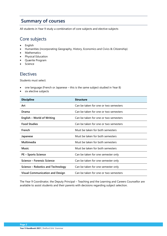# <span id="page-3-0"></span>**Summary of courses**

All students in Year 9 study a combination of core subjects and elective subjects

# <span id="page-3-1"></span>Core subjects

- English
- Humanities (incorporating Geography, History, Economics and Civics & Citizenship)
- Mathematics
- Physical Education
- Quærite Program
- Science

## <span id="page-3-2"></span>Electives

Students must select:

- one language (French or Japanese this is the same subject studied in Year 8)
- six elective subjects

| <b>Discipline</b>                      | <b>Structure</b>                      |
|----------------------------------------|---------------------------------------|
| Art                                    | Can be taken for one or two semesters |
| Drama                                  | Can be taken for one or two semesters |
| English - World of Writing             | Can be taken for one or two semesters |
| <b>Food Studies</b>                    | Can be taken for one or two semesters |
| French                                 | Must be taken for both semesters      |
| Japanese                               | Must be taken for both semesters      |
| Multimedia                             | Must be taken for both semesters      |
| <b>Music</b>                           | Must be taken for both semesters      |
| <b>PE - Sports Science</b>             | Can be taken for one semester only    |
| Science – Forensic Science             | Can be taken for one semester only    |
| Science – Robotics and Technology      | Can be taken for one semester only    |
| <b>Visual Communication and Design</b> | Can be taken for one or two semesters |

The Year 9 Coordinator, the Deputy Principal – Teaching and the Learning and Careers Counsellor are available to assist students and their parents with decisions regarding subject selection.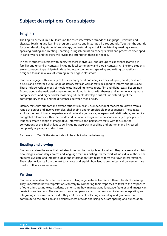# <span id="page-4-0"></span>**Subject descriptions: Core subjects**

# <span id="page-4-1"></span>English

The English curriculum is built around the three interrelated strands of Language, Literature and Literacy. Teaching and learning programs balance and integrate all three strands. Together the strands focus on developing students' knowledge, understanding and skills in listening, reading, viewing, speaking, writing and creating. Learning in English builds on concepts, skills and processes developed in earlier years, and teachers will revisit and strengthen these as needed.

In Year 9, students interact with peers, teachers, individuals, and groups to experience learning in familiar and unfamiliar contexts, including local community and global contexts. All Shelford students are encouraged to participate in debating opportunities and speaking and writing competitions, designed to inspire a love of learning in the English classroom.

Students engage with a variety of texts for enjoyment and analysis. They interpret, create, evaluate, discuss and perform a wide range of literary texts as well as texts designed to inform and persuade. These include various types of media texts, including newspapers, film and digital texts, fiction, nonfiction, poetry, dramatic performances and multimodal texts, with themes and issues involving more complex ideas and higher order reasoning. Students develop a critical understanding of the contemporary media, and the differences between media texts.

Literary texts that support and extend students in Year 9 as independent readers are drawn from a range of genres and involve complex, challenging and unpredictable plot sequences. These texts explore themes of human experience and cultural significance, interpersonal relationships, and ethical and global dilemmas within real-world and fictional settings and represent a variety of perspectives. Students create a range of imaginative, informative and persuasive texts, with focus on the conventions of the English language, including accuracy in spelling and grammar and increased complexity of paragraph structures.

By the end of Year 9, the student should be able to do the following.

## **Reading and viewing**

Students analyse the ways that text structures can be manipulated for effect. They analyse and explain how images, vocabulary choices and language features distinguish the work of individual authors. The students evaluate and integrate ideas and information from texts to form their own interpretations. They select evidence from the text to analyse and explain how language choices and conventions are used to influence an audience.

## **Writing**

Students understand how to use a variety of language features to create different levels of meaning. They understand how interpretations can vary by comparing their responses to texts to the responses of others. In creating texts, students demonstrate how manipulating language features and images can create innovative texts. The students create comparative texts that respond to issues interpreting and integrating ideas from other texts. They edit for effect, selecting vocabulary and grammar that contribute to the precision and persuasiveness of texts and using accurate spelling and punctuation.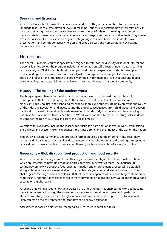## **Speaking and listening**

Year 9 students listen for ways texts position an audience. They understand how to use a variety of language features to create different levels of meaning. Students understand how interpretations can vary by comparing their responses to texts to the responses of others. In creating texts, students demonstrate how manipulating language features and images can create innovative texts. They create texts that respond to issues, interpreting and integrating ideas from texts. The students make presentations and contribute actively to class and group discussions, comparing and evaluating responses to ideas and issues.

## <span id="page-5-0"></span>**Humanities**

The Year 9 Humanities course is specifically designed to cater for the diversity of student interest and personal learning styles; the program includes an emphasis on self-directed, inquiry based learning with a variety of ICT skills taught. By studying past and future perspectives, students develop an understanding of democratic processes, social justice, enterprise and ecological sustainability. The course will focus on the interaction of people with the environment at a local, national and global scale, enabling them to participate as active and informed citizens in our global community.

## **History – The making of the modern world**

The biggest game changer in the history of the modern world can be attributed to the rapid developments that occurred during the 18th Century. The Industrial Revolution was a time of significant social, political and technological change. In this unit students begin by studying the causes of the Industrial Revolution and investigating the global consequences, from child labour and uneven distribution of wealth to worldwide trade networks. A depth study then focuses on the emerging nation as Australia moves from Federation to World War I and its aftermath. This study asks students to consider the role of Australia as part of the British Empire.

Questions to investigate include the reasons for Australia's participation in World War I, emphasising the Gallipoli and Western Front experiences, the 'Anzac Spirit' and the impact of the war on the nation.

Students will collate, summarise and present information using a range of primary and secondary written and visual sources such as film, documentary, diaries, photographs and paintings. Assessment is based on class work, analysis exercises and thinking routines, research tasks, essay and a test.

## **Geography – Globalisation, food production and food security**

Where does our food really come from? This major unit will investigate the characteristics of biomes which are essential to providing food and fibres on which our lifestyles reply. The influence of technology on how we produce food, such as irrigation and improvement of seed, will be studied along with negative environmental effects such as land degradation and loss of biodiversity. The challenges of feeding 9 billion people by 2050 will become apparent when researching contemporary food security, the shortages experienced in many developing nations and how we might improve food security on a global scale.

A second unit will investigate how an increased use of technology has enabled the world to become more interconnected through the movement of services, information and people. In particular, students will study the impacts of the globalisation of production and the growth of tourism and its likely effects on the environment and economy of a holiday destination.

Assessment is based on class work, mapping skills, research reports and tests.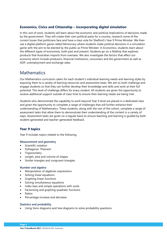## **Economics, Civics and Citizenship – Incorporating digital simulation**

In this unit of work, students will learn about the economic and political implications of decisions made by the government. They will create their own political party for a country, research some of the current issues that politicians face and have a class vote for Shelford's Year 9 Prime Minister. We then use a digital platform game called Democracy where students make political decisions in a simulation game with the aim to be elected by the public as Prime Minister. In Economics, students learn about the different types of economies, both past and present. Students go on a fieldtrip that explores products that Australian imports from overseas. We also investigate the factors that affect our economy which include producers, financial institutions, consumers and the government as well as GDP, unemployment and exchange rates.

# <span id="page-6-0"></span>**Mathematics**

Our Mathematics curriculum caters for each student's individual learning needs and learning styles by exposing them to a variety of learning resources and assessment tasks. We aim to both challenge and engage students so that they can further develop their knowledge and skills and work at their full potential. This level of challenge differs for every student. All students are given the opportunity to receive additional support outside of class time to ensure their learning needs are being met.

Students who demonstrate the capability to work beyond Year 9 level are placed in a dedicated class and given the opportunity to complete a range of challenges that will further enhance their understanding of Mathematics. These students, along with the rest of the cohort, complete a range of assessment tasks that allow them to demonstrate their understanding of the content in a variety of ways. Assessment tasks are given on a regular basis to ensure teaching and learning is guided by both student-generated and teacher-generated feedback.

## **Year 9 topics**

Year 9 includes topics related to the following.

#### **Measurement and geometry**

- Scientific notation
- Pythagoras' Theorem
- Trigonometry
- Length, area and volume of shapes
- Similar triangles and congruent triangles

#### **Number and algebra**

- Manipulation of algebraic expressions
- Solving linear equations
- Graphing linear functions
- Solving simultaneous equations
- Index laws and simple operations with surds
- Factorising and graphing quadratic functions
- **Ratios**
- Percentage increase and decrease

#### **Statistics and probability**

• Using Venn diagrams and tree diagrams to solve probability questions

**Year 9 Handbook 2021** | Shelford Girls' Grammar **Page 5**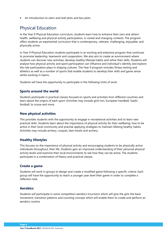• An Introduction to stem-and-leaf plots and box plots

# <span id="page-7-0"></span>Physical Education

In the Year 9 Physical Education curriculum, students learn how to enhance their own and others' health, wellbeing and physical activity participation, in varied and changing contexts. The program offers students an experiential curriculum that is contemporary, relevant, challenging, enjoyable, and physically active.

In Year 9 Physical Education students participate in an exciting and extensive program that continues to promote leadership, teamwork and cooperation. We also aim to create an environment where students can discover new activities, develop healthy lifestyle habits and refine their skills. Students will analyse how physical activity and sport participation can influence and individual's identity and explore the role participation plays in shaping cultures. The Year 9 program includes fitness testing and athletics as well as a number of sports that enable students to develop their skills and game sense whilst working in teams.

Students will have the opportunity to participate in the following Units of work.

#### **Sports around the world**

Students participate in practical classes focused on sports and activities from different countries and learn about the origins of each sport. Activities may include grid iron, European handball, Gaelic football, la crosse and more.

#### **New physical activities**

This provides students with the opportunity to engage in recreational activities and to learn new practical skills. Students learn about the importance of physical activity for their wellbeing, how to be active in their local community and practise applying strategies to maintain lifelong healthy habits. Activities may include archery, croquet, lawn bowls and archery.

#### **Healthy lifestyles**

This focuses on the importance of physical activity and encouraging students to be physically active individuals throughout, their life. Students gain an improved understanding of their personal physical activity levels and examine their local environments to see how they can be active. The students participate in a combination of theory and practical classes.

#### **Create a game**

Students will work in groups to design and create a modified game following a specific criteria. Each group will have the opportunity to teach a younger year level their game in order to complete a reflection task.

#### **Aerobics**

Students will participate in some competition aerobics incursions which will give the girls the basic movement, transition patterns and counting concept which will enable them to create and perform an aerobics routine.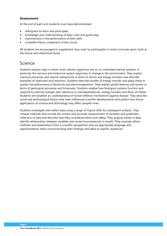## **Assessment**

At the end of each unit students must have demonstrated:

- willingness to learn and participate
- knowledge and understanding of basic rules and game play
- improvement in the performance of their skills
- complete theory component of the course.

All students are encouraged to supplement class work by participation in extra-curricular sport, both at the House and interschool levels.

# <span id="page-8-0"></span>Science

Students explore ways in which multi-cellular organisms rely on co-ordinated internal systems, in particular the nervous and endocrine system responses to change in the environment. They explain chemical processes and natural radioactivity in terms of atoms and energy transfers and describe examples of important acid reactions. Students describe models of energy transfer and apply these to explain the phenomena of electricity and electromagnetism. They explain global features and events in terms of geological processes and timescales. Students analyse how biological systems function and respond to external changes with reference to interdependencies, energy transfers and flows of matter. Students will establish an understanding of human defence mechanisms against disease. They describe social and technological factors that have influenced scientific developments and predict how future applications of science and technology may affect people's lives.

Students investigate and collect data using a range of inquiry skills for subsequent analysis. They critique methods that include the control and accurate measurement of variables and systematic collection of data and describe how they considered ethics and safety. They analyse trends in data, identify relationships between variables and reveal inconsistencies in results. They evaluate others' methods and explanations from a scientific perspective and use appropriate language and representations when communicating their findings and ideas to specific audiences.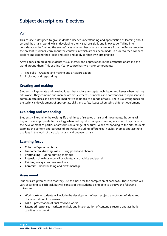# <span id="page-9-0"></span>**Subject descriptions: Electives**

## <span id="page-9-1"></span>Art

This course is designed to give students a deeper understanding and appreciation of learning about art and the artists' world, whilst developing their visual arts skills and knowledge. Taking into consideration the 'behind the scenes' tales of a number of artists anywhere from the Renaissance to the present, students learn about the contexts in which art has been made, in order to then connect, explore and extend their ideas and skills and apply to their own arts practice.

Art will focus on building students' visual literacy and appreciation in the aesthetics of art and the world around them. This exciting Year 9 course has two major components:

- 1. The Folio Creating and making and art appreciation
- 2. Exploring and responding

## **Creating and making**

Students will generate and develop ideas that explore concepts, techniques and issues when making arts works. They combine and manipulate arts elements, principles and conventions to represent and communicate ideas and develop imaginative solutions to a range of tasks. There is a strong focus on the technical development of appropriate skills and safety issues when using different equipment.

## **Exploring and responding**

Students will examine the exciting life and times of selected artists and movements. Students will begin to use appropriate terminology when making, discussing and writing about art. They focus on the development of particular art forms on a range of cultures. When responding to the arts, students examine the content and purpose of art works, including differences in styles, themes and aesthetic qualities in the work of particular artists and between artists.

## **Learning focus**

- **Colour** Exploration tasks
- **Fundamental drawing skills** Using pencil and charcoal
- **Printmaking** Mono printing methods
- **Extension drawings** pencil gradients, lyra graphite and pastel
- **Painting** acrylic and watercolours
- **Ceramics** hand building and craftsmanship

## **Assessment**

Students are given criteria that they use as a base for the completion of each task. These criteria will vary according to each task but will consist of the students being able to achieve the following outcomes:

- **Workbooks** students will include the development of each project, annotation of ideas and documentation of processes.
- **Folio** presentation of final resolved works.
- **Extended responses** written analysis and interpretation of content, structure and aesthetic qualities of art works.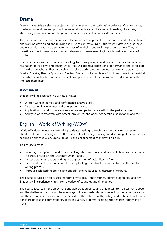## <span id="page-10-0"></span>Drama

Drama in Year 9 is an elective subject and aims to extend the students' knowledge of performance, theatrical conventions and production areas. Students will explore ways of creating characters, structuring narratives and applying production areas to suit various styles of theatre.

They are introduced to conventions and techniques employed in both naturalistic and eclectic theatre and work on developing and refining their use of expressive skills. Students will devise original solo and ensemble works, and also learn methods of analysing and realising scripted drama. They will investigate how to manipulate dramatic elements to create meaningful and considered pieces of theatre.

Students use appropriate drama terminology to critically analyse and evaluate the development and realisation of their own and others' work. They will attend a professional performance and participate in practical workshops. They research and explore both comic and serious performance styles such as Musical Theatre, Theatre Sports and Realism. Students will complete a folio in response to a theatrical brief which enables the students to select any approved script and focus on a production area that interests them most.

## **Assessment**

Students will be assessed in a variety of ways:

- Written work in journals and performance analysis tasks
- Participation in workshops and class performances
- Application of production areas, expressive and performance skills in the performances.
- Ability to work creatively with others through collaboration, cooperation, negotiation and focus.

# <span id="page-10-1"></span>English – World of Writing (WOW)

World of Writing focuses on extending students' reading strategies and personal responses to literature. It has been designed for those students who enjoy reading and discussing literature and are seeking an enriched exposure to literature and enhancement of their writing skills.

This course aims to:

- Encourage independent and critical thinking which will assist students in all their academic study, in particular English and Literature Units 1 and 2
- Increase students' understanding and appreciation of major literary forms
- Increase students' use and control of complex linguistic structures and features in the creative writing process
- Introduce selected theoretical and critical frameworks used in discussing literature.

The course is based on texts selected from novels, plays, short stories, poetry, biographies and films. Students will experience writers from a variety of countries and time periods.

The course focuses on the enjoyment and appreciation of reading that arises from discussion, debate and the challenge of exploring the meanings of literary texts. Students reflect on their interpretations and those of others. They will write in the style of the different authors they study. Students will study a mixture of past and contemporary texts in a variety of forms including short stories, poetry and a novel.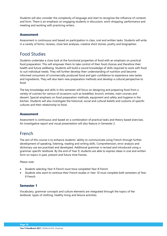Students will also consider the complexity of language and start to recognise the influence of contexts and form. There is an emphasis on engaging students in discussion, work-shopping, performance and meeting and working with practicing writers.

#### **Assessment**

Assessment is continuous and based on participation in class, oral and written tasks. Students will write in a variety of forms: reviews, close text analyses, creative short stories, poetry and biographies.

## <span id="page-11-0"></span>Food Studies

Students undertake a close look at the functional properties of food with an emphasis on practical food preparation. This will empower them to take control of their food choices and therefore their health and future wellbeing. Students will build a sound knowledge of skills required to work with food to suit individual needs. They will further develop their understanding of nutrition and become informed consumers of commercially produced food and gain confidence to experience new tastes and ingredients. They will also learn new preparation methods and develop a cultural perspective to food.

The key knowledge and skills in this semester will focus on designing and preparing food from a variety of cuisines for various of occasions such as breakfast, brunch, entrees, main courses and dessert. Special emphasis on food preparation methods, equipment and safety and hygiene in the kitchen. Students will also investigate the historical, social and cultural beliefs and customs of specific cultures and their relationship to food.

#### **Assessment**

Assessment is continuous and based on a combination of practical tasks and theory based exercises. An investigative report and visual presentation will also feature in Semester 2.

# <span id="page-11-1"></span>French

The aim of this course is to enhance students' ability to communicate using French through further development of speaking, listening, reading and writing skills. Comprehension, error analysis and dictionary use are practised and developed. Additional grammar is revised and introduced using a grammar-specific textbook. By the end of Year 9, students are able to express ideas in oral and written form on topics in past, present and future time frames.

#### *Please note:*

- *Students selecting Year 9 French must have completed Year 8 French.*
- *Students who want to continue their French studies in Year 10 must complete both semesters of Year 9 French.*

#### **Semester 1**

Vocabulary, grammar concepts and culture elements are integrated through the topics of the textbook: types of clothing, healthy living and leisure activities.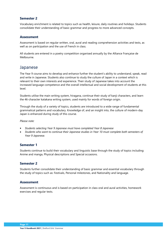## **Semester 2**

Vocabulary enrichment is related to topics such as health, leisure, daily routines and holidays. Students consolidate their understanding of basic grammar and progress to more advanced concepts.

#### **Assessment**

Assessment is based on regular written, oral, aural and reading comprehension activities and tests, as well as on participation and the use of French in class.

All students are entered in a poetry competition organised annually by the Alliance Française de Melbourne.

## <span id="page-12-0"></span>Japanese

The Year 9 course aims to develop and enhance further the student's ability to understand, speak, read and write in Japanese. Students also continue to study the culture of Japan in a context which is relevant to their own interests and experience. Their study of Japanese takes into account the increased language competence and the overall intellectual and social development of students at this level.

Students utilise the main writing system, hiragana, continue their study of kanji characters, and learn the 46-character katakana writing system, used mainly for words of foreign origin.

Through the study of a variety of topics, students are introduced to a wide range of fundamental grammatical patterns and vocabulary. Knowledge of, and an insight into, the culture of modern-day Japan is enhanced during study of this course.

#### *Please note:*

- *Students selecting Year 9 Japanese must have completed Year 8 Japanese*
- *Students who want to continue their Japanese studies in Year 10 must complete both semesters of Year 9 Japanese.*

#### **Semester 1**

Students continue to build their vocabulary and linguistic base through the study of topics including: Anime and manga, Physical descriptions and Special occasions.

#### **Semester 2**

Students further consolidate their understanding of basic grammar and essential vocabulary through the study of topics such as: Festivals, Personal milestones, and Nationality and language.

#### **Assessment**

Assessment is continuous and is based on participation in class oral and aural activities, homework exercises and regular tests.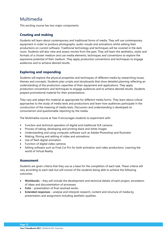# <span id="page-13-0"></span>Multimedia

This exciting course has two major components.

## **Creating and making**

Students will learn about contemporary and traditional forms of media. They will use contemporary equipment in order to produce photographs, audio-visuals and animations whilst editing their productions on current software. Traditional technology and techniques will be covered in the dark room. Students will also view and assess movies from the past. They will learn the aesthetics, styles and formats of a chosen medium and use media elements, techniques and conventions to explore the expressive potential of their medium. They apply production conventions and techniques to engage audiences and to achieve desired results.

## **Exploring and responding**

Students will explore the physical properties and techniques of different media by researching issues, themes and concepts. Students plan scripts and storyboards that show detailed planning reflecting an understanding of the production capacities of their equipment and applications. They apply production conventions and techniques to engage audiences and to achieve desired results. Students prepare promotional material for their presentations.

They vary and adapt this material as appropriate for different media forms. They learn about critical approaches to the study of media texts and productions and learn how audiences participate in the construction of the meaning of media texts. Discussion and understanding is developed on consumerism and questionable reporting by the media.

The Multimedia course at Year 9 encourages students to experiment with:

- Function and technical operation of digital and traditional SLR cameras
- Process of taking, developing and printing black and white images
- Understanding and using computer software such as Adobe Photoshop and Illustrator
- Making, filming and editing of video and animations
- Use of flash digital animation
- Function of digital video cameras
- Editing software such as Final Cut Pro for both animation and video productions. Learning the world of Virtual Reality

#### **Assessment**

Students are given criteria that they use as a base for the completion of each task. These criteria will vary according to each task but will consist of the students being able to achieve the following outcomes:

- **Workbooks** they will include the development and technical details of each project, annotation of ideas and documentation of processes.
- **Folio** presentation of final resolved works.
- **Extended responses** analyse and interpret research, content and structure of media by presentation and assignment including aesthetic qualities.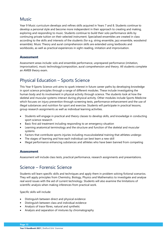# <span id="page-14-0"></span>Music

Year 9 Music curriculum develops and refines skills acquired in Years 7 and 8. Students continue to develop a personal style and become more independent in their approach to creating and making, exploring and responding to music. Students continue to build their solo performance skills by continuing private tuition on their selected instrument. Specialised ensembles are created in class according to the skills and interests of the students (for e.g. string ensemble, jazz ensemble, woodwind ensemble). Music Theory and aural comprehension skills are extended using textbooks and workbooks, as well as practical experiences in sight-reading, imitation and improvisation.

## **Assessment**

Assessment areas include: solo and ensemble performance, unprepared performance (imitation, improvisation), music technology/composition, aural comprehension and theory. All students complete an AMEB theory exam.

# <span id="page-14-1"></span>Physical Education – Sports Science

This Year 9 Sports Science unit aims to spark interest in future career paths by developing knowledge in sport science principles through a range of different modules. These include investigating the human body and its involvement in physical activity through science. The students look at how the skeletal and muscular systems interact during physical activity. Other modules include Sports Medicine which focuses on injury prevention through screening tests, performance enhancement and the use of illegal substances and nutrition for sport and exercise. Students will participate in practical lessons, group research assignments as well as individual learning activities.

- Students will engage in practical and theory classes to develop skills, and knowledge in conducting sport science research
- Basic first aid treatment including responding to an emergency situation
- Learning anatomical terminology and the structure and function of the skeletal and muscular systems
- Factors that contribute sports injuries including musculoskeletal training that athletes undergo
- The stages of learning and how each individual can best learn a new skill
- Illegal performance enhancing substances and athletes who have been banned from competing

## **Assessment**

Assessment will include class tests, practical performance, research assignments and presentations.

# <span id="page-14-2"></span>Science – Forensic Science

Students will learn specific skills and techniques and apply them in problem solving fictional scenarios. They will apply principles from Chemistry, Biology, Physics and Mathematics to investigate and analyse real word issues with the aid of current technology. Students will also examine the limitations of scientific analysis when making inferences from practical work.

Specific skills will include:

- Distinguish between direct and physical evidence
- Distinguish between class and individual evidence
- Analysis of trace fibres, natural and synthetic
- Analysis and separation of mixtures by chromatography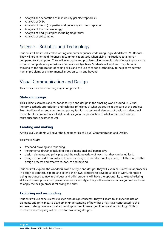- Analysis and separation of mixtures by gel electrophoresis
- Analysis of DNA
- Analysis of blood (properties and genetics) and blood splatter
- Analysis of forensic toxicology
- Analysis of bodily samples including fingerprints
- Analysis of soil samples

# <span id="page-15-0"></span>Science – Robotics and Technology

Students will be introduced to writing computer sequence code using Lego Mindstorm EV3 Robots. They will examine the differences in communication used when giving instructions to a human compared to a computer. They will investigate and problem solve the multitude of ways to program a robot to complete unique tasks and simulation objectives. Students will explore computational thinking to the application of coding skills and the use of robotic technology to help solve current human problems or environmental issues on earth and beyond.

# <span id="page-15-1"></span>Visual Communication and Design

This course has three exciting major components.

## **Style and design**

This subject examines and responds to style and design in the amazing world around us. Visual literacy, aesthetic appreciation and technical principles of what we see lie at the core of this subject. From traditional to renowned contemporary fashion, to technical elements of design, students will learn about the importance of style and design in the production of what we see and how to reproduce these aesthetics well.

## **Creating and making**

At this level, students will cover the fundamentals of Visual Communication and Design.

This will include:

- freehand drawing and rendering
- instrumental drawing; including three dimensional and perspective
- design elements and principles and the exciting variety of ways that they can be utilised.
- design in context from fashion, to interior design, to architecture, to pattern, to letterform, to the design process and creative responses and beyond.

Students will explore the wonderful world of style and design. They will examine successful approaches in design to connect, explore and extend their own concepts to develop a folio of work. Alongside being introduced to new techniques and skills, students will have the opportunity to extend existing skills and develop their own personal interests and style. They will learn about a design brief and how to apply the design process following the brief.

## **Exploring and responding**

Students will examine successful style and design concepts. They will learn to analyse the use of elements and principles, to develop an understanding of how these may have contributed to the success of design works as well as build upon their knowledge of technical terminology. Skills in research and critiquing will be used for evaluating designs.